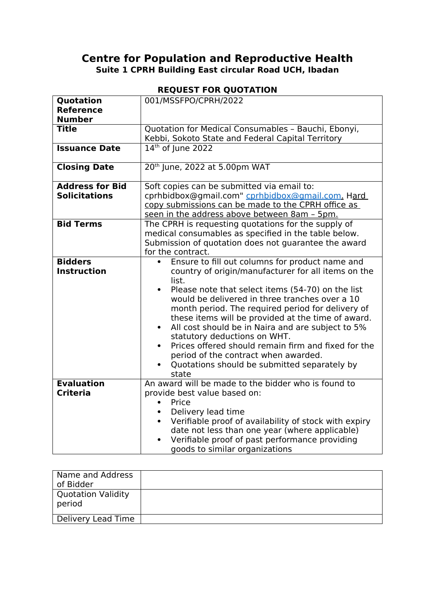## **Centre for Population and Reproductive Health Suite 1 CPRH Building East circular Road UCH, Ibadan**

## **REQUEST FOR QUOTATION**

| Quotation<br><b>Reference</b> | 001/MSSFPO/CPRH/2022                                                                                             |
|-------------------------------|------------------------------------------------------------------------------------------------------------------|
| <b>Number</b>                 |                                                                                                                  |
| <b>Title</b>                  | Quotation for Medical Consumables - Bauchi, Ebonyi,                                                              |
|                               | Kebbi, Sokoto State and Federal Capital Territory                                                                |
| <b>Issuance Date</b>          | 14th of lune 2022                                                                                                |
| <b>Closing Date</b>           | 20th June, 2022 at 5.00pm WAT                                                                                    |
| <b>Address for Bid</b>        | Soft copies can be submitted via email to:                                                                       |
| <b>Solicitations</b>          | cprhbidbox@gmail.com" cprhbidbox@gmail.com. Hard                                                                 |
|                               | copy submissions can be made to the CPRH office as                                                               |
|                               | seen in the address above between 8am - 5pm.                                                                     |
| <b>Bid Terms</b>              | The CPRH is requesting quotations for the supply of                                                              |
|                               | medical consumables as specified in the table below.                                                             |
|                               | Submission of quotation does not guarantee the award                                                             |
|                               | for the contract.                                                                                                |
| <b>Bidders</b>                | Ensure to fill out columns for product name and                                                                  |
| <b>Instruction</b>            | country of origin/manufacturer for all items on the                                                              |
|                               | list.                                                                                                            |
|                               | Please note that select items (54-70) on the list<br>$\bullet$<br>would be delivered in three tranches over a 10 |
|                               | month period. The required period for delivery of                                                                |
|                               | these items will be provided at the time of award.                                                               |
|                               | All cost should be in Naira and are subject to 5%<br>$\bullet$                                                   |
|                               | statutory deductions on WHT.                                                                                     |
|                               | Prices offered should remain firm and fixed for the<br>$\bullet$                                                 |
|                               | period of the contract when awarded.                                                                             |
|                               | Quotations should be submitted separately by                                                                     |
|                               | state                                                                                                            |
| <b>Evaluation</b>             | An award will be made to the bidder who is found to                                                              |
| <b>Criteria</b>               | provide best value based on:                                                                                     |
|                               | Price                                                                                                            |
|                               | Delivery lead time                                                                                               |
|                               | Verifiable proof of availability of stock with expiry                                                            |
|                               | date not less than one year (where applicable)                                                                   |
|                               | Verifiable proof of past performance providing                                                                   |
|                               | goods to similar organizations                                                                                   |

| Name and Address<br>of Bidder |  |
|-------------------------------|--|
| Quotation Validity<br>period  |  |
| Delivery Lead Time            |  |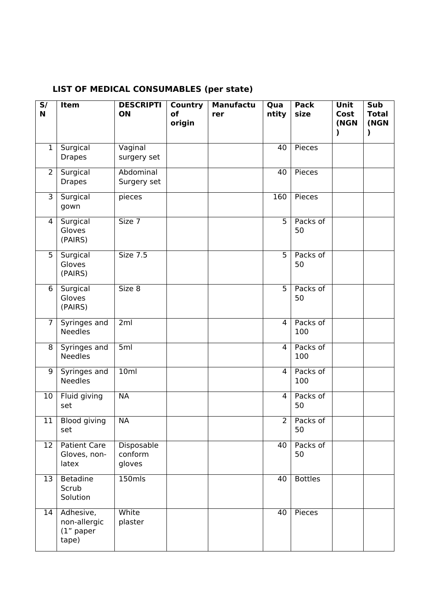| S/<br>N           | Item                                              | <b>DESCRIPTI</b><br>ON          | <b>Country</b><br>of<br>origin | <b>Manufactu</b><br>rer | Qua<br>ntity   | <b>Pack</b><br>size | Unit<br>Cost<br>(NGN<br>$\mathbf{I}$ | Sub<br><b>Total</b><br>(NGN<br>) |
|-------------------|---------------------------------------------------|---------------------------------|--------------------------------|-------------------------|----------------|---------------------|--------------------------------------|----------------------------------|
| 1                 | Surgical<br><b>Drapes</b>                         | Vaginal<br>surgery set          |                                |                         | 40             | <b>Pieces</b>       |                                      |                                  |
| $\overline{2}$    | Surgical<br><b>Drapes</b>                         | Abdominal<br>Surgery set        |                                |                         | 40             | Pieces              |                                      |                                  |
| 3                 | Surgical<br>gown                                  | pieces                          |                                |                         | 160            | Pieces              |                                      |                                  |
| 4                 | Surgical<br>Gloves<br>(PAIRS)                     | Size 7                          |                                |                         | $\overline{5}$ | Packs of<br>50      |                                      |                                  |
| $\overline{5}$    | Surgical<br>Gloves<br>(PAIRS)                     | <b>Size 7.5</b>                 |                                |                         | $\overline{5}$ | Packs of<br>50      |                                      |                                  |
| 6                 | Surgical<br>Gloves<br>(PAIRS)                     | Size 8                          |                                |                         | $\overline{5}$ | Packs of<br>50      |                                      |                                  |
| $\overline{7}$    | Syringes and<br><b>Needles</b>                    | 2 <sub>ml</sub>                 |                                |                         | 4              | Packs of<br>100     |                                      |                                  |
| 8                 | Syringes and<br><b>Needles</b>                    | 5ml                             |                                |                         | 4              | Packs of<br>100     |                                      |                                  |
| 9                 | Syringes and<br><b>Needles</b>                    | 10ml                            |                                |                         | 4              | Packs of<br>100     |                                      |                                  |
| 10                | Fluid giving<br>set                               | <b>NA</b>                       |                                |                         | 4              | Packs of<br>50      |                                      |                                  |
| $\overline{11}$   | <b>Blood giving</b><br>set                        | <b>NA</b>                       |                                |                         | $\overline{2}$ | Packs of<br>50      |                                      |                                  |
| $12 \overline{ }$ | <b>Patient Care</b><br>Gloves, non-<br>latex      | Disposable<br>conform<br>gloves |                                |                         | 40             | Packs of<br>50      |                                      |                                  |
| 13                | Betadine<br>Scrub<br>Solution                     | $150$ mls                       |                                |                         | 40             | <b>Bottles</b>      |                                      |                                  |
| 14                | Adhesive,<br>non-allergic<br>$(1"$ paper<br>tape) | White<br>plaster                |                                |                         | 40             | Pieces              |                                      |                                  |

## **LIST OF MEDICAL CONSUMABLES (per state)**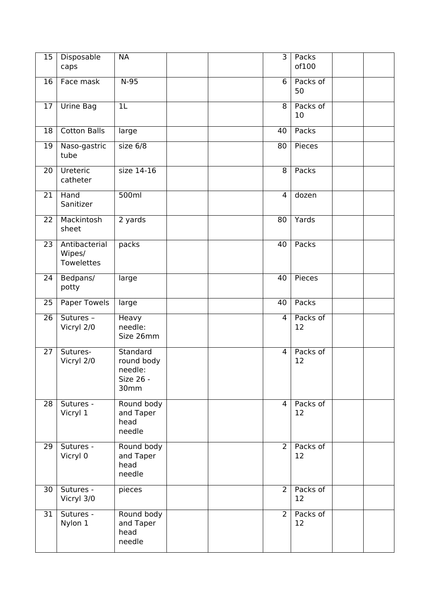| 15              | Disposable<br>caps                    | <b>NA</b>                                              |  | $\overline{3}$ | Packs<br>of100 |  |
|-----------------|---------------------------------------|--------------------------------------------------------|--|----------------|----------------|--|
| 16              | Face mask                             | $N-95$                                                 |  | 6              | Packs of<br>50 |  |
| 17              | <b>Urine Bag</b>                      | 1L                                                     |  | 8              | Packs of<br>10 |  |
| 18              | <b>Cotton Balls</b>                   | large                                                  |  | 40             | Packs          |  |
| 19              | Naso-gastric<br>tube                  | size 6/8                                               |  | 80             | Pieces         |  |
| 20              | Ureteric<br>catheter                  | $size 14-16$                                           |  | $\overline{8}$ | Packs          |  |
| 21              | Hand<br>Sanitizer                     | 500ml                                                  |  | $\overline{4}$ | dozen          |  |
| 22              | Mackintosh<br>sheet                   | 2 yards                                                |  | 80             | Yards          |  |
| 23              | Antibacterial<br>Wipes/<br>Towelettes | packs                                                  |  | 40             | Packs          |  |
| 24              | Bedpans/<br>potty                     | large                                                  |  | 40             | Pieces         |  |
| 25              | Paper Towels                          | large                                                  |  | 40             | Packs          |  |
| 26              | Sutures -<br>Vicryl 2/0               | Heavy<br>needle:<br>Size 26mm                          |  | $\overline{4}$ | Packs of<br>12 |  |
| 27              | Sutures-<br>Vicryl 2/0                | Standard<br>round body<br>needle:<br>Size 26 -<br>30mm |  | $\overline{4}$ | Packs of<br>12 |  |
| 28              | Sutures -<br>Vicryl 1                 | Round body<br>and Taper<br>head<br>needle              |  | 4              | Packs of<br>12 |  |
| 29              | Sutures -<br>Vicryl 0                 | Round body<br>and Taper<br>head<br>needle              |  | $\overline{2}$ | Packs of<br>12 |  |
| $\overline{30}$ | Sutures -<br>Vicryl 3/0               | pieces                                                 |  | $\overline{2}$ | Packs of<br>12 |  |
| 31              | Sutures -<br>Nylon 1                  | Round body<br>and Taper<br>head<br>needle              |  | $\overline{2}$ | Packs of<br>12 |  |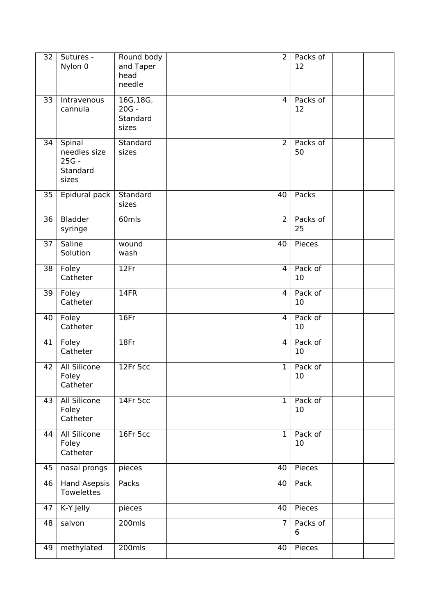| $\overline{32}$ | Sutures -<br>Nylon 0                                   | Round body<br>and Taper<br>head<br>needle |  | $\overline{2}$ | Packs of<br>12 |  |
|-----------------|--------------------------------------------------------|-------------------------------------------|--|----------------|----------------|--|
| 33              | Intravenous<br>cannula                                 | 16G, 18G,<br>$20G -$<br>Standard<br>sizes |  | $\overline{4}$ | Packs of<br>12 |  |
| $\overline{34}$ | Spinal<br>needles size<br>$25G -$<br>Standard<br>sizes | Standard<br>sizes                         |  | $\overline{2}$ | Packs of<br>50 |  |
| 35              | Epidural pack                                          | Standard<br>sizes                         |  | 40             | Packs          |  |
| $\overline{36}$ | <b>Bladder</b><br>syringe                              | 60mls                                     |  | $\overline{2}$ | Packs of<br>25 |  |
| 37              | <b>Saline</b><br>Solution                              | wound<br>wash                             |  | 40             | Pieces         |  |
| 38              | Foley<br>Catheter                                      | 12Fr                                      |  | $\overline{4}$ | Pack of<br>10  |  |
| $\overline{39}$ | Foley<br>Catheter                                      | 14FR                                      |  | 4              | Pack of<br>10  |  |
| 40              | Foley<br>Catheter                                      | 16Fr                                      |  | $\overline{4}$ | Pack of<br>10  |  |
| 41              | Foley<br>Catheter                                      | 18Fr                                      |  | 4              | Pack of<br>10  |  |
| 42              | <b>All Silicone</b><br>Foley<br>Catheter               | 12Fr 5cc                                  |  | $\mathbf{1}$   | Pack of<br>10  |  |
| 43              | <b>All Silicone</b><br>Foley<br>Catheter               | 14Fr 5cc                                  |  | $\overline{1}$ | Pack of<br>10  |  |
| 44              | <b>All Silicone</b><br>Foley<br>Catheter               | 16Fr 5cc                                  |  | $\mathbf{1}$   | Pack of<br>10  |  |
| 45              | nasal prongs                                           | pieces                                    |  | 40             | Pieces         |  |
| 46              | <b>Hand Asepsis</b><br>Towelettes                      | Packs                                     |  | 40             | Pack           |  |
| 47              | K-Y Jelly                                              | pieces                                    |  | 40             | Pieces         |  |
| 48              | salvon                                                 | $200$ mls                                 |  | $\overline{7}$ | Packs of<br>6  |  |
| 49              | methylated                                             | $200$ mls                                 |  | 40             | Pieces         |  |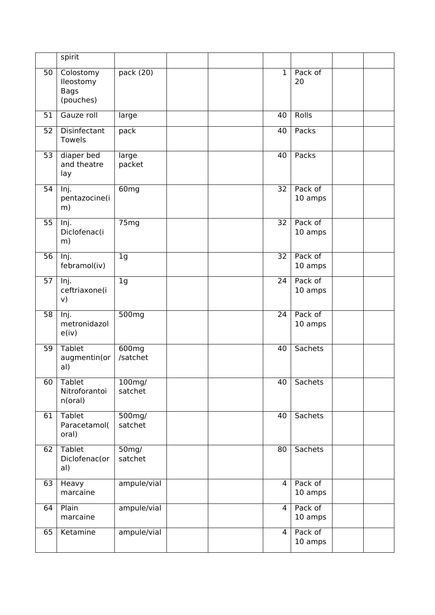|    | spirit                                             |                      |  |                 |                    |  |
|----|----------------------------------------------------|----------------------|--|-----------------|--------------------|--|
| 50 | Colostomy<br>lleostomy<br><b>Bags</b><br>(pouches) | pack (20)            |  | $\mathbf{1}$    | Pack of<br>20      |  |
| 51 | Gauze roll                                         | large                |  | 40              | <b>Rolls</b>       |  |
| 52 | Disinfectant<br>Towels                             | pack                 |  | 40              | Packs              |  |
| 53 | diaper bed<br>and theatre<br>lay                   | large<br>packet      |  | 40              | Packs              |  |
| 54 | Inj.<br>pentazocine(i<br>m)                        | 60 <sub>mg</sub>     |  | 32              | Pack of<br>10 amps |  |
| 55 | Inj.<br>Diclofenac(i<br>m)                         | 75mg                 |  | 32              | Pack of<br>10 amps |  |
| 56 | Inj.<br>febramol(iv)                               | 1 <sub>g</sub>       |  | $\overline{32}$ | Pack of<br>10 amps |  |
| 57 | Inj.<br>ceftriaxone(i<br>v)                        | 1 <sub>g</sub>       |  | 24              | Pack of<br>10 amps |  |
| 58 | Inj.<br>metronidazol<br>e(iv)                      | 500mg                |  | 24              | Pack of<br>10 amps |  |
| 59 | <b>Tablet</b><br>augmentin(or<br>al)               | 600mg<br>/satchet    |  | 40              | <b>Sachets</b>     |  |
| 60 | Tablet<br>Nitroforantoi<br>n(oral)                 | $100$ mg/<br>satchet |  | 40              | Sachets            |  |
| 61 | <b>Tablet</b><br>Paracetamol(<br>oral)             | 500mg/<br>satchet    |  | 40              | <b>Sachets</b>     |  |
| 62 | <b>Tablet</b><br>Diclofenac(or<br>al)              | $50$ mg/<br>satchet  |  | 80              | <b>Sachets</b>     |  |
| 63 | Heavy<br>marcaine                                  | ampule/vial          |  | $\overline{4}$  | Pack of<br>10 amps |  |
| 64 | Plain<br>marcaine                                  | ampule/vial          |  | $\overline{4}$  | Pack of<br>10 amps |  |
| 65 | Ketamine                                           | ampule/vial          |  | $\overline{4}$  | Pack of<br>10 amps |  |